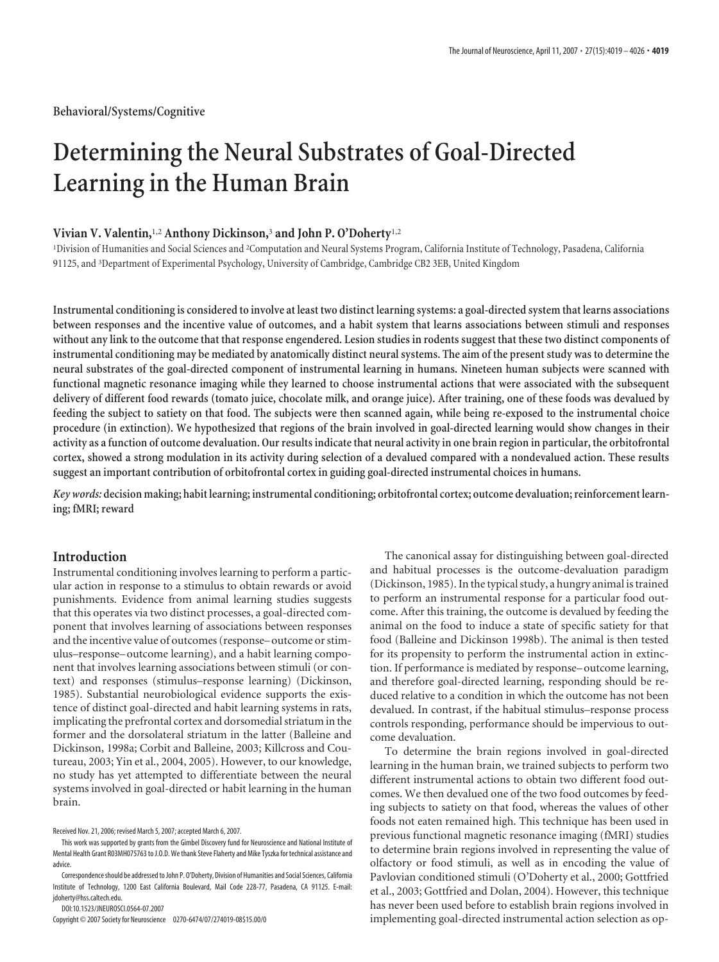**Behavioral/Systems/Cognitive**

# **Determining the Neural Substrates of Goal-Directed Learning in the Human Brain**

# **Vivian V. Valentin,**1,2 **Anthony Dickinson,**<sup>3</sup> **and John P. O'Doherty**1,2

1 Division of Humanities and Social Sciences and <sup>2</sup> Computation and Neural Systems Program, California Institute of Technology, Pasadena, California 91125, and <sup>3</sup> Department of Experimental Psychology, University of Cambridge, Cambridge CB2 3EB, United Kingdom

**Instrumental conditioning is considered to involve at least two distinct learning systems: a goal-directed system that learns associations between responses and the incentive value of outcomes, and a habit system that learns associations between stimuli and responses without any link to the outcome that that response engendered. Lesion studies in rodents suggest that these two distinct components of instrumental conditioning may be mediated by anatomically distinct neural systems. The aim of the present study was to determine the neural substrates of the goal-directed component of instrumental learning in humans. Nineteen human subjects were scanned with functional magnetic resonance imaging while they learned to choose instrumental actions that were associated with the subsequent delivery of different food rewards (tomato juice, chocolate milk, and orange juice). After training, one of these foods was devalued by feeding the subject to satiety on that food. The subjects were then scanned again, while being re-exposed to the instrumental choice procedure (in extinction). We hypothesized that regions of the brain involved in goal-directed learning would show changes in their activity as a function of outcome devaluation. Our results indicate that neural activity in one brain region in particular, the orbitofrontal cortex, showed a strong modulation in its activity during selection of a devalued compared with a nondevalued action. These results suggest an important contribution of orbitofrontal cortex in guiding goal-directed instrumental choices in humans.**

*Key words:* **decision making; habit learning; instrumental conditioning; orbitofrontal cortex; outcome devaluation; reinforcement learning; fMRI; reward**

# **Introduction**

Instrumental conditioning involves learning to perform a particular action in response to a stimulus to obtain rewards or avoid punishments. Evidence from animal learning studies suggests that this operates via two distinct processes, a goal-directed component that involves learning of associations between responses and the incentive value of outcomes (response– outcome or stimulus–response– outcome learning), and a habit learning component that involves learning associations between stimuli (or context) and responses (stimulus–response learning) (Dickinson, 1985). Substantial neurobiological evidence supports the existence of distinct goal-directed and habit learning systems in rats, implicating the prefrontal cortex and dorsomedial striatum in the former and the dorsolateral striatum in the latter (Balleine and Dickinson, 1998a; Corbit and Balleine, 2003; Killcross and Coutureau, 2003; Yin et al., 2004, 2005). However, to our knowledge, no study has yet attempted to differentiate between the neural systems involved in goal-directed or habit learning in the human brain.

DOI:10.1523/JNEUROSCI.0564-07.2007

Copyright © 2007 Society for Neuroscience 0270-6474/07/274019-08\$15.00/0

The canonical assay for distinguishing between goal-directed and habitual processes is the outcome-devaluation paradigm (Dickinson, 1985). In the typical study, a hungry animal is trained to perform an instrumental response for a particular food outcome. After this training, the outcome is devalued by feeding the animal on the food to induce a state of specific satiety for that food (Balleine and Dickinson 1998b). The animal is then tested for its propensity to perform the instrumental action in extinction. If performance is mediated by response– outcome learning, and therefore goal-directed learning, responding should be reduced relative to a condition in which the outcome has not been devalued. In contrast, if the habitual stimulus–response process controls responding, performance should be impervious to outcome devaluation.

To determine the brain regions involved in goal-directed learning in the human brain, we trained subjects to perform two different instrumental actions to obtain two different food outcomes. We then devalued one of the two food outcomes by feeding subjects to satiety on that food, whereas the values of other foods not eaten remained high. This technique has been used in previous functional magnetic resonance imaging (fMRI) studies to determine brain regions involved in representing the value of olfactory or food stimuli, as well as in encoding the value of Pavlovian conditioned stimuli (O'Doherty et al., 2000; Gottfried et al., 2003; Gottfried and Dolan, 2004). However, this technique has never been used before to establish brain regions involved in implementing goal-directed instrumental action selection as op-

Received Nov. 21, 2006; revised March 5, 2007; accepted March 6, 2007.

This work was supported by grants from the Gimbel Discovery fund for Neuroscience and National Institute of Mental Health Grant R03MH075763 to J.O.D. We thank Steve Flaherty and Mike Tyszka for technical assistance and advice.

Correspondence should be addressed to John P. O'Doherty, Division of Humanities and Social Sciences, California Institute of Technology, 1200 East California Boulevard, Mail Code 228-77, Pasadena, CA 91125. E-mail: jdoherty@hss.caltech.edu.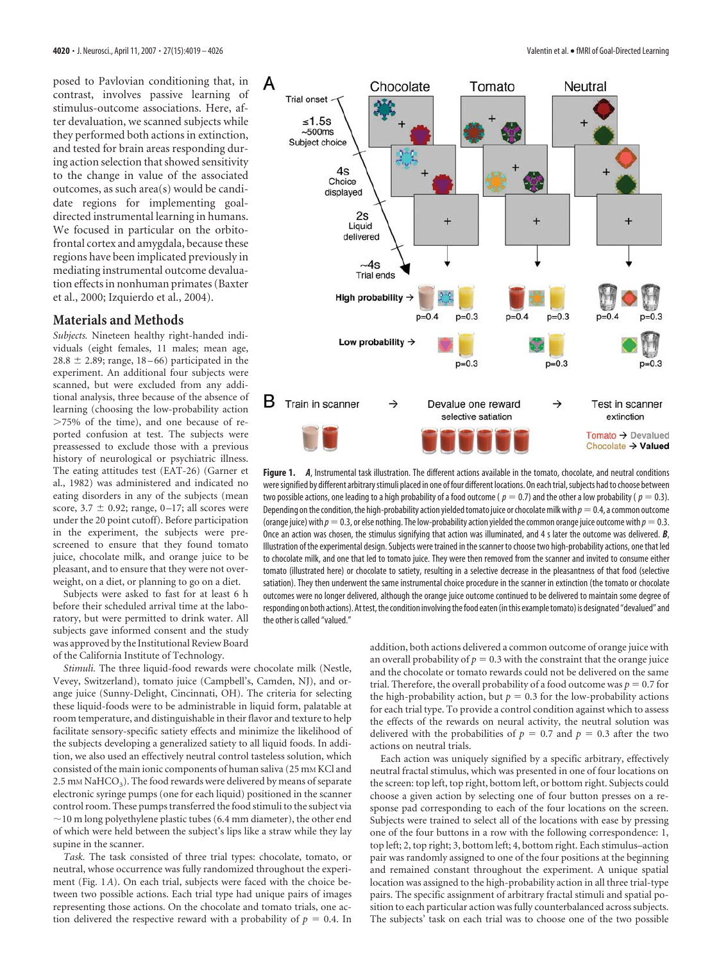posed to Pavlovian conditioning that, in contrast, involves passive learning of stimulus-outcome associations. Here, after devaluation, we scanned subjects while they performed both actions in extinction, and tested for brain areas responding during action selection that showed sensitivity to the change in value of the associated outcomes, as such area(s) would be candidate regions for implementing goaldirected instrumental learning in humans. We focused in particular on the orbitofrontal cortex and amygdala, because these regions have been implicated previously in mediating instrumental outcome devaluation effects in nonhuman primates (Baxter et al., 2000; Izquierdo et al., 2004).

# **Materials and Methods**

*Subjects.* Nineteen healthy right-handed individuals (eight females, 11 males; mean age, 28.8  $\pm$  2.89; range, 18–66) participated in the experiment. An additional four subjects were scanned, but were excluded from any additional analysis, three because of the absence of learning (choosing the low-probability action -75% of the time), and one because of reported confusion at test. The subjects were preassessed to exclude those with a previous history of neurological or psychiatric illness. The eating attitudes test (EAT-26) (Garner et al., 1982) was administered and indicated no eating disorders in any of the subjects (mean score,  $3.7 \pm 0.92$ ; range, 0-17; all scores were under the 20 point cutoff). Before participation in the experiment, the subjects were prescreened to ensure that they found tomato juice, chocolate milk, and orange juice to be pleasant, and to ensure that they were not overweight, on a diet, or planning to go on a diet.

Subjects were asked to fast for at least 6 h before their scheduled arrival time at the laboratory, but were permitted to drink water. All subjects gave informed consent and the study was approved by the Institutional Review Board of the California Institute of Technology.

*Stimuli.* The three liquid-food rewards were chocolate milk (Nestle, Vevey, Switzerland), tomato juice (Campbell's, Camden, NJ), and orange juice (Sunny-Delight, Cincinnati, OH). The criteria for selecting these liquid-foods were to be administrable in liquid form, palatable at room temperature, and distinguishable in their flavor and texture to help facilitate sensory-specific satiety effects and minimize the likelihood of the subjects developing a generalized satiety to all liquid foods. In addition, we also used an effectively neutral control tasteless solution, which consisted of the main ionic components of human saliva (25 mm KCl and 2.5 mm NaHCO<sub>3</sub>). The food rewards were delivered by means of separate electronic syringe pumps (one for each liquid) positioned in the scanner control room. These pumps transferred the food stimuli to the subject via  $\sim$  10 m long polyethylene plastic tubes (6.4 mm diameter), the other end of which were held between the subject's lips like a straw while they lay supine in the scanner.

the other is called "valued."

*Task.* The task consisted of three trial types: chocolate, tomato, or neutral, whose occurrence was fully randomized throughout the experiment (Fig. 1*A*). On each trial, subjects were faced with the choice between two possible actions. Each trial type had unique pairs of images representing those actions. On the chocolate and tomato trials, one action delivered the respective reward with a probability of  $p = 0.4$ . In

addition, both actions delivered a common outcome of orange juice with an overall probability of  $p = 0.3$  with the constraint that the orange juice and the chocolate or tomato rewards could not be delivered on the same trial. Therefore, the overall probability of a food outcome was  $p = 0.7$  for the high-probability action, but  $p = 0.3$  for the low-probability actions for each trial type. To provide a control condition against which to assess the effects of the rewards on neural activity, the neutral solution was delivered with the probabilities of  $p = 0.7$  and  $p = 0.3$  after the two actions on neutral trials.

Each action was uniquely signified by a specific arbitrary, effectively neutral fractal stimulus, which was presented in one of four locations on the screen: top left, top right, bottom left, or bottom right. Subjects could choose a given action by selecting one of four button presses on a response pad corresponding to each of the four locations on the screen. Subjects were trained to select all of the locations with ease by pressing one of the four buttons in a row with the following correspondence: 1, top left; 2, top right; 3, bottom left; 4, bottom right. Each stimulus–action pair was randomly assigned to one of the four positions at the beginning and remained constant throughout the experiment. A unique spatial location was assigned to the high-probability action in all three trial-type pairs. The specific assignment of arbitrary fractal stimuli and spatial position to each particular action was fully counterbalanced across subjects. The subjects' task on each trial was to choose one of the two possible



**Figure 1.** *A*, Instrumental task illustration. The different actions available in the tomato, chocolate, and neutral conditions were signified by different arbitrary stimuli placed in one of four different locations. On each trial, subjects had to choose between two possible actions, one leading to a high probability of a food outcome ( $p = 0.7$ ) and the other a low probability ( $p = 0.3$ ). Depending on the condition, the high-probability action yielded tomato juice or chocolate milk with  $p=0.4$ , a common outcome (orange juice) with  $p=0.3$ , or else nothing. The low-probability action yielded the common orange juice outcome with  $p=0.3$ . Once an action was chosen, the stimulus signifying that action was illuminated, and 4 s later the outcome was delivered. *B*, Illustration of the experimental design. Subjects were trained in thescanner to choose two high-probability actions, one that led to chocolate milk, and one that led to tomato juice. They were then removed from the scanner and invited to consume either tomato (illustrated here) or chocolate to satiety, resulting in a selective decrease in the pleasantness of that food (selective satiation). They then underwent the same instrumental choice procedure in the scanner in extinction (the tomato or chocolate outcomes were no longer delivered, although the orange juice outcome continued to be delivered to maintain some degree of responding on both actions). At test, the condition involving the food eaten (in this example tomato) is designated "devalued" and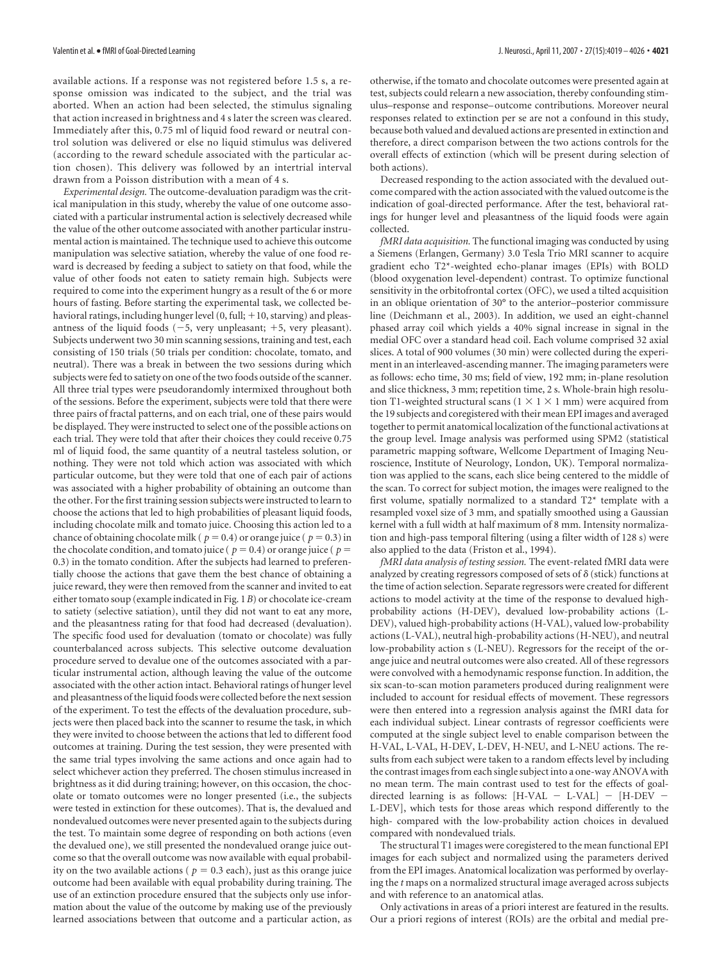aborted. When an action had been selected, the stimulus signaling that action increased in brightness and 4 s later the screen was cleared. Immediately after this, 0.75 ml of liquid food reward or neutral control solution was delivered or else no liquid stimulus was delivered (according to the reward schedule associated with the particular action chosen). This delivery was followed by an intertrial interval drawn from a Poisson distribution with a mean of 4 s.

*Experimental design.* The outcome-devaluation paradigm was the critical manipulation in this study, whereby the value of one outcome associated with a particular instrumental action is selectively decreased while the value of the other outcome associated with another particular instrumental action is maintained. The technique used to achieve this outcome manipulation was selective satiation, whereby the value of one food reward is decreased by feeding a subject to satiety on that food, while the value of other foods not eaten to satiety remain high. Subjects were required to come into the experiment hungry as a result of the 6 or more hours of fasting. Before starting the experimental task, we collected behavioral ratings, including hunger level (0, full; +10, starving) and pleasantness of the liquid foods  $(-5, \text{very unpleasant}; +5, \text{very pleasant}).$ Subjects underwent two 30 min scanning sessions, training and test, each consisting of 150 trials (50 trials per condition: chocolate, tomato, and neutral). There was a break in between the two sessions during which subjects were fed to satiety on one of the two foods outside of the scanner. All three trial types were pseudorandomly intermixed throughout both of the sessions. Before the experiment, subjects were told that there were three pairs of fractal patterns, and on each trial, one of these pairs would be displayed. They were instructed to select one of the possible actions on each trial. They were told that after their choices they could receive 0.75 ml of liquid food, the same quantity of a neutral tasteless solution, or nothing. They were not told which action was associated with which particular outcome, but they were told that one of each pair of actions was associated with a higher probability of obtaining an outcome than the other. For the first training session subjects were instructed to learn to choose the actions that led to high probabilities of pleasant liquid foods, including chocolate milk and tomato juice. Choosing this action led to a chance of obtaining chocolate milk ( $p = 0.4$ ) or orange juice ( $p = 0.3$ ) in the chocolate condition, and tomato juice ( $p = 0.4$ ) or orange juice ( $p =$ 0.3) in the tomato condition. After the subjects had learned to preferentially choose the actions that gave them the best chance of obtaining a juice reward, they were then removed from the scanner and invited to eat either tomato soup (example indicated in Fig. 1*B*) or chocolate ice-cream to satiety (selective satiation), until they did not want to eat any more, and the pleasantness rating for that food had decreased (devaluation). The specific food used for devaluation (tomato or chocolate) was fully counterbalanced across subjects. This selective outcome devaluation procedure served to devalue one of the outcomes associated with a particular instrumental action, although leaving the value of the outcome associated with the other action intact. Behavioral ratings of hunger level and pleasantness of the liquid foods were collected before the next session of the experiment. To test the effects of the devaluation procedure, subjects were then placed back into the scanner to resume the task, in which they were invited to choose between the actions that led to different food outcomes at training. During the test session, they were presented with the same trial types involving the same actions and once again had to select whichever action they preferred. The chosen stimulus increased in brightness as it did during training; however, on this occasion, the chocolate or tomato outcomes were no longer presented (i.e., the subjects were tested in extinction for these outcomes). That is, the devalued and nondevalued outcomes were never presented again to the subjects during the test. To maintain some degree of responding on both actions (even the devalued one), we still presented the nondevalued orange juice outcome so that the overall outcome was now available with equal probability on the two available actions ( $p = 0.3$  each), just as this orange juice outcome had been available with equal probability during training. The use of an extinction procedure ensured that the subjects only use information about the value of the outcome by making use of the previously learned associations between that outcome and a particular action, as

otherwise, if the tomato and chocolate outcomes were presented again at test, subjects could relearn a new association, thereby confounding stimulus–response and response– outcome contributions. Moreover neural responses related to extinction per se are not a confound in this study, because both valued and devalued actions are presented in extinction and therefore, a direct comparison between the two actions controls for the overall effects of extinction (which will be present during selection of both actions).

Decreased responding to the action associated with the devalued outcome compared with the action associated with the valued outcome is the indication of goal-directed performance. After the test, behavioral ratings for hunger level and pleasantness of the liquid foods were again collected.

*fMRI data acquisition.* The functional imaging was conducted by using a Siemens (Erlangen, Germany) 3.0 Tesla Trio MRI scanner to acquire gradient echo T2\*-weighted echo-planar images (EPIs) with BOLD (blood oxygenation level-dependent) contrast. To optimize functional sensitivity in the orbitofrontal cortex (OFC), we used a tilted acquisition in an oblique orientation of 30° to the anterior–posterior commissure line (Deichmann et al., 2003). In addition, we used an eight-channel phased array coil which yields a 40% signal increase in signal in the medial OFC over a standard head coil. Each volume comprised 32 axial slices. A total of 900 volumes (30 min) were collected during the experiment in an interleaved-ascending manner. The imaging parameters were as follows: echo time, 30 ms; field of view, 192 mm; in-plane resolution and slice thickness, 3 mm; repetition time, 2 s. Whole-brain high resolution T1-weighted structural scans ( $1 \times 1 \times 1$  mm) were acquired from the 19 subjects and coregistered with their mean EPI images and averaged together to permit anatomical localization of the functional activations at the group level. Image analysis was performed using SPM2 (statistical parametric mapping software, Wellcome Department of Imaging Neuroscience, Institute of Neurology, London, UK). Temporal normalization was applied to the scans, each slice being centered to the middle of the scan. To correct for subject motion, the images were realigned to the first volume, spatially normalized to a standard T2\* template with a resampled voxel size of 3 mm, and spatially smoothed using a Gaussian kernel with a full width at half maximum of 8 mm. Intensity normalization and high-pass temporal filtering (using a filter width of 128 s) were also applied to the data (Friston et al., 1994).

*fMRI data analysis of testing session.* The event-related fMRI data were analyzed by creating regressors composed of sets of  $\delta$  (stick) functions at the time of action selection. Separate regressors were created for different actions to model activity at the time of the response to devalued highprobability actions (H-DEV), devalued low-probability actions (L-DEV), valued high-probability actions (H-VAL), valued low-probability actions (L-VAL), neutral high-probability actions (H-NEU), and neutral low-probability action s (L-NEU). Regressors for the receipt of the orange juice and neutral outcomes were also created. All of these regressors were convolved with a hemodynamic response function. In addition, the six scan-to-scan motion parameters produced during realignment were included to account for residual effects of movement. These regressors were then entered into a regression analysis against the fMRI data for each individual subject. Linear contrasts of regressor coefficients were computed at the single subject level to enable comparison between the H-VAL, L-VAL, H-DEV, L-DEV, H-NEU, and L-NEU actions. The results from each subject were taken to a random effects level by including the contrast images from each single subject into a one-way ANOVA with no mean term. The main contrast used to test for the effects of goaldirected learning is as follows:  $[H-VAL - L-VAL] - [H-DEV -$ L-DEV], which tests for those areas which respond differently to the high- compared with the low-probability action choices in devalued compared with nondevalued trials.

The structural T1 images were coregistered to the mean functional EPI images for each subject and normalized using the parameters derived from the EPI images. Anatomical localization was performed by overlaying the *t* maps on a normalized structural image averaged across subjects and with reference to an anatomical atlas.

Only activations in areas of a priori interest are featured in the results. Our a priori regions of interest (ROIs) are the orbital and medial pre-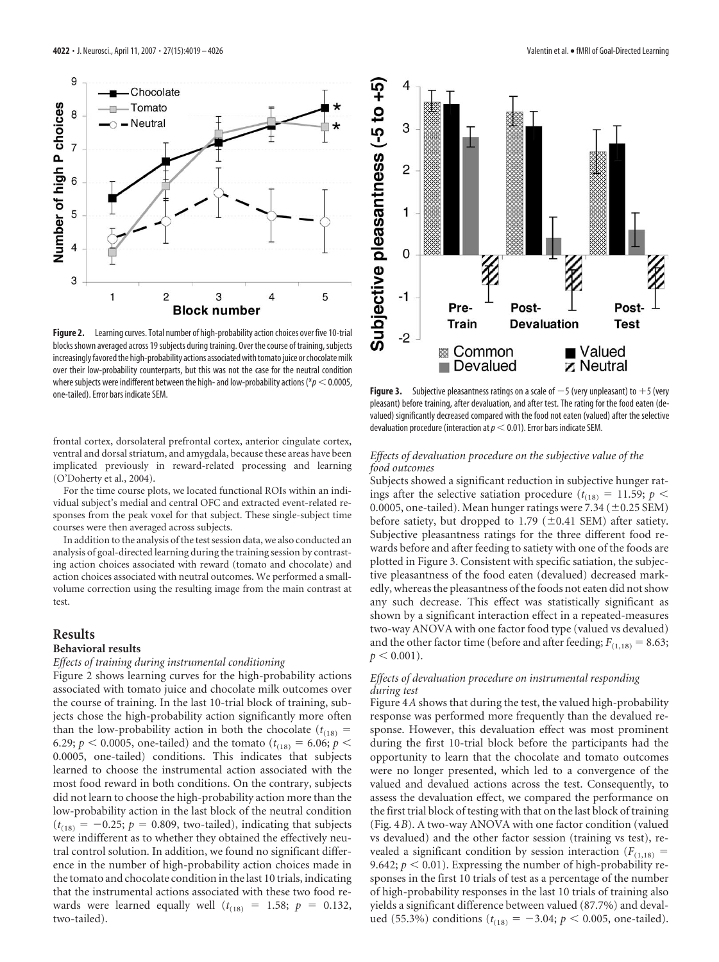

**Figure 2.** Learning curves. Total number of high-probability action choices over five 10-trial blocks shown averaged across 19 subjects during training. Over the course of training, subjects increasingly favored the high-probability actions associated with tomato juice or chocolate milk over their low-probability counterparts, but this was not the case for the neutral condition where subjects were indifferent between the high- and low-probability actions ( $*p < 0.0005$ , one-tailed). Error bars indicate SEM. **Figure 3.** Subjective pleasantness ratings on a scale of 5 (very unpleasant) to 5 (very

frontal cortex, dorsolateral prefrontal cortex, anterior cingulate cortex, ventral and dorsal striatum, and amygdala, because these areas have been implicated previously in reward-related processing and learning (O'Doherty et al., 2004).

For the time course plots, we located functional ROIs within an individual subject's medial and central OFC and extracted event-related responses from the peak voxel for that subject. These single-subject time courses were then averaged across subjects.

In addition to the analysis of the test session data, we also conducted an analysis of goal-directed learning during the training session by contrasting action choices associated with reward (tomato and chocolate) and action choices associated with neutral outcomes. We performed a smallvolume correction using the resulting image from the main contrast at test.

## **Results**

# **Behavioral results**

### *Effects of training during instrumental conditioning*

Figure 2 shows learning curves for the high-probability actions associated with tomato juice and chocolate milk outcomes over the course of training. In the last 10-trial block of training, subjects chose the high-probability action significantly more often than the low-probability action in both the chocolate  $(t_{(18)})$ 6.29; *p* < 0.0005, one-tailed) and the tomato ( $t_{(18)} = 6.06$ ; *p* < 0.0005, one-tailed) conditions. This indicates that subjects learned to choose the instrumental action associated with the most food reward in both conditions. On the contrary, subjects did not learn to choose the high-probability action more than the low-probability action in the last block of the neutral condition  $(t<sub>(18)</sub> = -0.25; p = 0.809, two-tailed), indicating that subjects$ were indifferent as to whether they obtained the effectively neutral control solution. In addition, we found no significant difference in the number of high-probability action choices made in the tomato and chocolate condition in the last 10 trials, indicating that the instrumental actions associated with these two food rewards were learned equally well  $(t<sub>(18)</sub> = 1.58; p = 0.132)$ , two-tailed).



pleasant) before training, after devaluation, and after test. The rating for the food eaten (devalued) significantly decreased compared with the food not eaten (valued) after the selective devaluation procedure (interaction at  $p < 0.01$ ). Error bars indicate SEM.

## *Effects of devaluation procedure on the subjective value of the food outcomes*

Subjects showed a significant reduction in subjective hunger ratings after the selective satiation procedure ( $t_{(18)} = 11.59$ ;  $p <$ 0.0005, one-tailed). Mean hunger ratings were  $7.34 (\pm 0.25 \text{ SEM})$ before satiety, but dropped to 1.79 ( $\pm$ 0.41 SEM) after satiety. Subjective pleasantness ratings for the three different food rewards before and after feeding to satiety with one of the foods are plotted in Figure 3. Consistent with specific satiation, the subjective pleasantness of the food eaten (devalued) decreased markedly, whereas the pleasantness of the foods not eaten did not show any such decrease. This effect was statistically significant as shown by a significant interaction effect in a repeated-measures two-way ANOVA with one factor food type (valued vs devalued) and the other factor time (before and after feeding;  $F_{(1,18)} = 8.63$ ;  $p < 0.001$ ).

## *Effects of devaluation procedure on instrumental responding during test*

Figure 4*A* shows that during the test, the valued high-probability response was performed more frequently than the devalued response. However, this devaluation effect was most prominent during the first 10-trial block before the participants had the opportunity to learn that the chocolate and tomato outcomes were no longer presented, which led to a convergence of the valued and devalued actions across the test. Consequently, to assess the devaluation effect, we compared the performance on the first trial block of testing with that on the last block of training (Fig. 4*B*). A two-way ANOVA with one factor condition (valued vs devalued) and the other factor session (training vs test), revealed a significant condition by session interaction  $(F_{(1,18)})$ 9.642;  $p < 0.01$ ). Expressing the number of high-probability responses in the first 10 trials of test as a percentage of the number of high-probability responses in the last 10 trials of training also yields a significant difference between valued (87.7%) and devalued (55.3%) conditions ( $t_{(18)} = -3.04$ ;  $p < 0.005$ , one-tailed).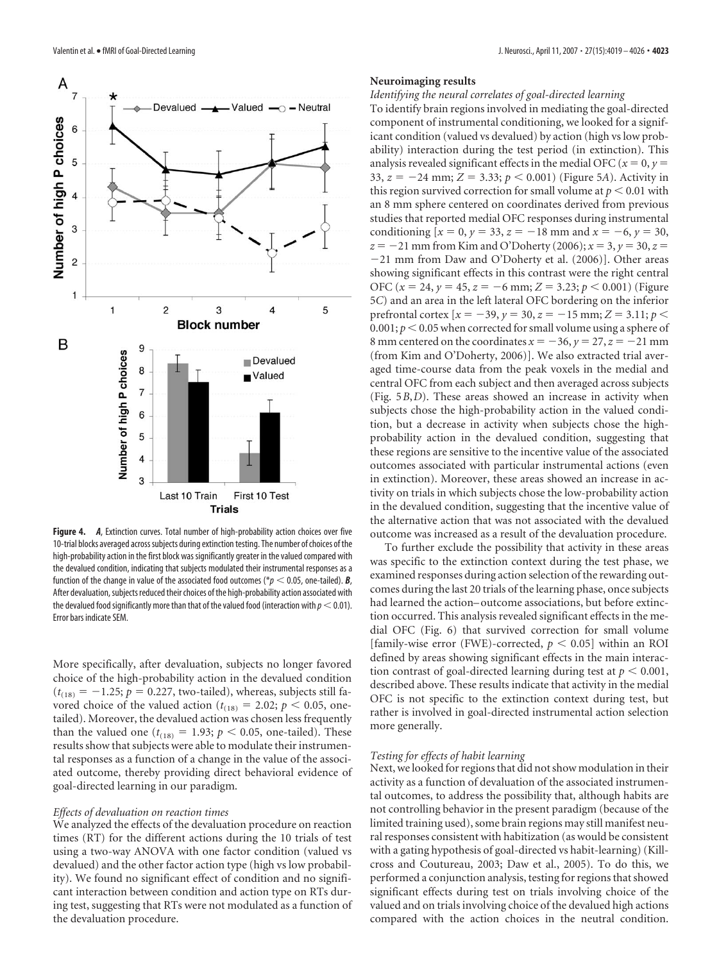

**Figure 4.** *A*, Extinction curves. Total number of high-probability action choices over five 10-trial blocks averaged across subjects during extinction testing. The number of choices of the high-probability action in the first block was significantly greater in the valued compared with the devalued condition, indicating that subjects modulated their instrumental responses as a function of the change in value of the associated food outcomes ( $p < 0.05$ , one-tailed). **B**, After devaluation, subjects reduced their choices of the high-probability action associated with the devalued food significantly more than that of the valued food (interaction with  $p < 0.01$ ). Error bars indicate SEM.

More specifically, after devaluation, subjects no longer favored choice of the high-probability action in the devalued condition  $(t_{(18)} = -1.25; p = 0.227$ , two-tailed), whereas, subjects still favored choice of the valued action ( $t_{(18)} = 2.02$ ;  $p < 0.05$ , onetailed). Moreover, the devalued action was chosen less frequently than the valued one  $(t_{(18)} = 1.93; p < 0.05$ , one-tailed). These results show that subjects were able to modulate their instrumental responses as a function of a change in the value of the associated outcome, thereby providing direct behavioral evidence of goal-directed learning in our paradigm.

#### *Effects of devaluation on reaction times*

We analyzed the effects of the devaluation procedure on reaction times (RT) for the different actions during the 10 trials of test using a two-way ANOVA with one factor condition (valued vs devalued) and the other factor action type (high vs low probability). We found no significant effect of condition and no significant interaction between condition and action type on RTs during test, suggesting that RTs were not modulated as a function of the devaluation procedure.

# **Neuroimaging results**

*Identifying the neural correlates of goal-directed learning*

To identify brain regions involved in mediating the goal-directed component of instrumental conditioning, we looked for a significant condition (valued vs devalued) by action (high vs low probability) interaction during the test period (in extinction). This analysis revealed significant effects in the medial OFC ( $x = 0$ ,  $y =$ 33,  $z = -24$  mm;  $Z = 3.33$ ;  $p < 0.001$ ) (Figure 5*A*). Activity in this region survived correction for small volume at  $p < 0.01$  with an 8 mm sphere centered on coordinates derived from previous studies that reported medial OFC responses during instrumental conditioning  $[x = 0, y = 33, z = -18 \text{ mm and } x = -6, y = 30,$  $z = -21$  mm from Kim and O'Doherty (2006);  $x = 3$ ,  $y = 30$ ,  $z =$ 21 mm from Daw and O'Doherty et al. (2006)]. Other areas showing significant effects in this contrast were the right central OFC  $(x = 24, y = 45, z = -6$  mm;  $Z = 3.23; p < 0.001$ ) (Figure 5*C*) and an area in the left lateral OFC bordering on the inferior prefrontal cortex  $[x = -39, y = 30, z = -15 \text{ mm}; Z = 3.11; p <$  $0.001$ ;  $p < 0.05$  when corrected for small volume using a sphere of 8 mm centered on the coordinates  $x = -36$ ,  $y = 27$ ,  $z = -21$  mm (from Kim and O'Doherty, 2006)]. We also extracted trial averaged time-course data from the peak voxels in the medial and central OFC from each subject and then averaged across subjects (Fig. 5*B*,*D*). These areas showed an increase in activity when subjects chose the high-probability action in the valued condition, but a decrease in activity when subjects chose the highprobability action in the devalued condition, suggesting that these regions are sensitive to the incentive value of the associated outcomes associated with particular instrumental actions (even in extinction). Moreover, these areas showed an increase in activity on trials in which subjects chose the low-probability action in the devalued condition, suggesting that the incentive value of the alternative action that was not associated with the devalued outcome was increased as a result of the devaluation procedure.

To further exclude the possibility that activity in these areas was specific to the extinction context during the test phase, we examined responses during action selection of the rewarding outcomes during the last 20 trials of the learning phase, once subjects had learned the action– outcome associations, but before extinction occurred. This analysis revealed significant effects in the medial OFC (Fig. 6) that survived correction for small volume [family-wise error (FWE)-corrected,  $p < 0.05$ ] within an ROI defined by areas showing significant effects in the main interaction contrast of goal-directed learning during test at  $p < 0.001$ , described above. These results indicate that activity in the medial OFC is not specific to the extinction context during test, but rather is involved in goal-directed instrumental action selection more generally.

#### *Testing for effects of habit learning*

Next, we looked for regions that did not show modulation in their activity as a function of devaluation of the associated instrumental outcomes, to address the possibility that, although habits are not controlling behavior in the present paradigm (because of the limited training used), some brain regions may still manifest neural responses consistent with habitization (as would be consistent with a gating hypothesis of goal-directed vs habit-learning) (Killcross and Coutureau, 2003; Daw et al., 2005). To do this, we performed a conjunction analysis, testing for regions that showed significant effects during test on trials involving choice of the valued and on trials involving choice of the devalued high actions compared with the action choices in the neutral condition.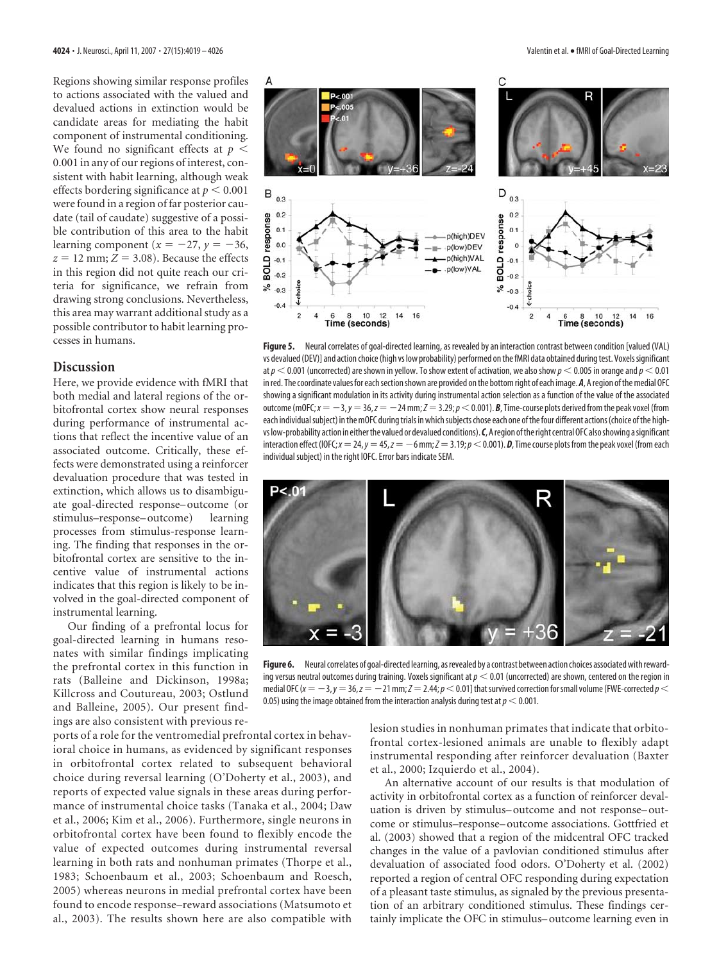Regions showing similar response profiles to actions associated with the valued and devalued actions in extinction would be candidate areas for mediating the habit component of instrumental conditioning. We found no significant effects at  $p <$ 0.001 in any of our regions of interest, consistent with habit learning, although weak effects bordering significance at  $p < 0.001$ were found in a region of far posterior caudate (tail of caudate) suggestive of a possible contribution of this area to the habit learning component ( $x = -27$ ,  $y = -36$ ,  $z = 12$  mm;  $Z = 3.08$ ). Because the effects in this region did not quite reach our criteria for significance, we refrain from drawing strong conclusions. Nevertheless, this area may warrant additional study as a possible contributor to habit learning processes in humans.

# **Discussion**

Here, we provide evidence with fMRI that both medial and lateral regions of the orbitofrontal cortex show neural responses during performance of instrumental actions that reflect the incentive value of an associated outcome. Critically, these effects were demonstrated using a reinforcer devaluation procedure that was tested in extinction, which allows us to disambiguate goal-directed response– outcome (or stimulus–response– outcome) learning processes from stimulus-response learning. The finding that responses in the orbitofrontal cortex are sensitive to the incentive value of instrumental actions indicates that this region is likely to be involved in the goal-directed component of instrumental learning.

Our finding of a prefrontal locus for goal-directed learning in humans resonates with similar findings implicating the prefrontal cortex in this function in rats (Balleine and Dickinson, 1998a; Killcross and Coutureau, 2003; Ostlund and Balleine, 2005). Our present findings are also consistent with previous re-

ports of a role for the ventromedial prefrontal cortex in behavioral choice in humans, as evidenced by significant responses in orbitofrontal cortex related to subsequent behavioral choice during reversal learning (O'Doherty et al., 2003), and reports of expected value signals in these areas during performance of instrumental choice tasks (Tanaka et al., 2004; Daw et al., 2006; Kim et al., 2006). Furthermore, single neurons in orbitofrontal cortex have been found to flexibly encode the value of expected outcomes during instrumental reversal learning in both rats and nonhuman primates (Thorpe et al., 1983; Schoenbaum et al., 2003; Schoenbaum and Roesch, 2005) whereas neurons in medial prefrontal cortex have been found to encode response–reward associations (Matsumoto et al., 2003). The results shown here are also compatible with



**Figure 5.** Neural correlates of goal-directed learning, as revealed by an interaction contrast between condition [valued (VAL) vs devalued (DEV)] and action choice (high vs low probability) performed on the fMRI data obtained during test. Voxels significant at  $p < 0.001$  (uncorrected) are shown in yellow. To show extent of activation, we also show  $p < 0.005$  in orange and  $p < 0.01$ in red. The coordinate values for each section shown are provided on the bottom right of each image. A, A region of the medial OFC showing a significant modulation in its activity during instrumental action selection as a function of the value of the associated outcome (mOFC;  $x = -3$ ,  $y = 36$ ,  $z = -24$  mm;  $Z = 3.29$ ;  $p < 0.001$ ). **B**, Time-course plots derived from the peak voxel (from each individual subject) in the mOFC during trials in which subjects chose each one of the four different actions (choice of the highvs low-probability action in eitherthe valued or devalued conditions).*C*,Aregion oftheright centralOFC alsoshowing asignificant interaction effect (IOFC;  $x = 24$ ,  $y = 45$ ,  $z = -6$  mm;  $Z = 3.19$ ;  $p < 0.001$ ). *D*, Time course plots from the peak voxel (from each individual subject) in the right lOFC. Error bars indicate SEM.



Figure 6. Neural correlates of goal-directed learning, as revealed by a contrast between action choices associated with rewarding versus neutral outcomes during training. Voxels significant at  $p < 0.01$  (uncorrected) are shown, centered on the region in medial OFC ( $x=-3$ ,  $y=36$ ,  $z=-21$  mm;  $Z=2.44$ ;  $p<0.01$ ] that survived correction for small volume (FWE-corrected  $p<$ 0.05) using the image obtained from the interaction analysis during test at  $p < 0.001$ .

lesion studies in nonhuman primates that indicate that orbitofrontal cortex-lesioned animals are unable to flexibly adapt instrumental responding after reinforcer devaluation (Baxter et al., 2000; Izquierdo et al., 2004).

An alternative account of our results is that modulation of activity in orbitofrontal cortex as a function of reinforcer devaluation is driven by stimulus– outcome and not response– outcome or stimulus–response– outcome associations. Gottfried et al. (2003) showed that a region of the midcentral OFC tracked changes in the value of a pavlovian conditioned stimulus after devaluation of associated food odors. O'Doherty et al. (2002) reported a region of central OFC responding during expectation of a pleasant taste stimulus, as signaled by the previous presentation of an arbitrary conditioned stimulus. These findings certainly implicate the OFC in stimulus– outcome learning even in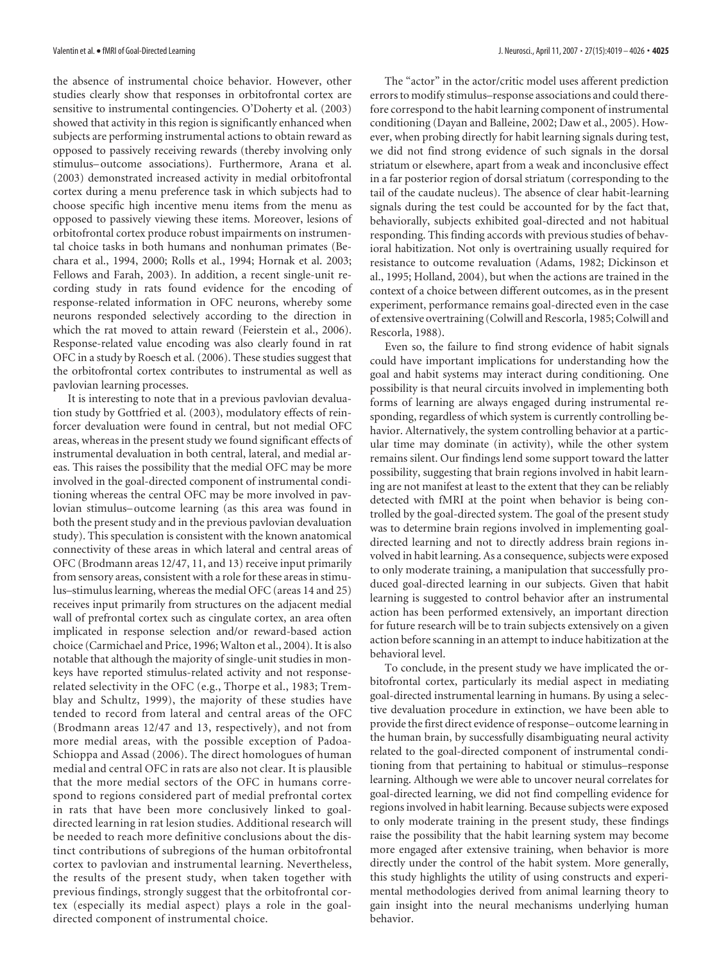the absence of instrumental choice behavior. However, other studies clearly show that responses in orbitofrontal cortex are sensitive to instrumental contingencies. O'Doherty et al. (2003) showed that activity in this region is significantly enhanced when subjects are performing instrumental actions to obtain reward as opposed to passively receiving rewards (thereby involving only stimulus– outcome associations). Furthermore, Arana et al. (2003) demonstrated increased activity in medial orbitofrontal cortex during a menu preference task in which subjects had to choose specific high incentive menu items from the menu as opposed to passively viewing these items. Moreover, lesions of orbitofrontal cortex produce robust impairments on instrumental choice tasks in both humans and nonhuman primates (Bechara et al., 1994, 2000; Rolls et al., 1994; Hornak et al. 2003; Fellows and Farah, 2003). In addition, a recent single-unit recording study in rats found evidence for the encoding of response-related information in OFC neurons, whereby some neurons responded selectively according to the direction in which the rat moved to attain reward (Feierstein et al., 2006). Response-related value encoding was also clearly found in rat OFC in a study by Roesch et al. (2006). These studies suggest that the orbitofrontal cortex contributes to instrumental as well as pavlovian learning processes.

It is interesting to note that in a previous pavlovian devaluation study by Gottfried et al. (2003), modulatory effects of reinforcer devaluation were found in central, but not medial OFC areas, whereas in the present study we found significant effects of instrumental devaluation in both central, lateral, and medial areas. This raises the possibility that the medial OFC may be more involved in the goal-directed component of instrumental conditioning whereas the central OFC may be more involved in pavlovian stimulus– outcome learning (as this area was found in both the present study and in the previous pavlovian devaluation study). This speculation is consistent with the known anatomical connectivity of these areas in which lateral and central areas of OFC (Brodmann areas 12/47, 11, and 13) receive input primarily from sensory areas, consistent with a role for these areas in stimulus–stimulus learning, whereas the medial OFC (areas 14 and 25) receives input primarily from structures on the adjacent medial wall of prefrontal cortex such as cingulate cortex, an area often implicated in response selection and/or reward-based action choice (Carmichael and Price, 1996; Walton et al., 2004). It is also notable that although the majority of single-unit studies in monkeys have reported stimulus-related activity and not responserelated selectivity in the OFC (e.g., Thorpe et al., 1983; Tremblay and Schultz, 1999), the majority of these studies have tended to record from lateral and central areas of the OFC (Brodmann areas 12/47 and 13, respectively), and not from more medial areas, with the possible exception of Padoa-Schioppa and Assad (2006). The direct homologues of human medial and central OFC in rats are also not clear. It is plausible that the more medial sectors of the OFC in humans correspond to regions considered part of medial prefrontal cortex in rats that have been more conclusively linked to goaldirected learning in rat lesion studies. Additional research will be needed to reach more definitive conclusions about the distinct contributions of subregions of the human orbitofrontal cortex to pavlovian and instrumental learning. Nevertheless, the results of the present study, when taken together with previous findings, strongly suggest that the orbitofrontal cortex (especially its medial aspect) plays a role in the goaldirected component of instrumental choice.

The "actor" in the actor/critic model uses afferent prediction errors to modify stimulus–response associations and could therefore correspond to the habit learning component of instrumental conditioning (Dayan and Balleine, 2002; Daw et al., 2005). However, when probing directly for habit learning signals during test, we did not find strong evidence of such signals in the dorsal striatum or elsewhere, apart from a weak and inconclusive effect in a far posterior region of dorsal striatum (corresponding to the tail of the caudate nucleus). The absence of clear habit-learning signals during the test could be accounted for by the fact that, behaviorally, subjects exhibited goal-directed and not habitual responding. This finding accords with previous studies of behavioral habitization. Not only is overtraining usually required for resistance to outcome revaluation (Adams, 1982; Dickinson et al., 1995; Holland, 2004), but when the actions are trained in the context of a choice between different outcomes, as in the present experiment, performance remains goal-directed even in the case of extensive overtraining (Colwill and Rescorla, 1985; Colwill and Rescorla, 1988).

Even so, the failure to find strong evidence of habit signals could have important implications for understanding how the goal and habit systems may interact during conditioning. One possibility is that neural circuits involved in implementing both forms of learning are always engaged during instrumental responding, regardless of which system is currently controlling behavior. Alternatively, the system controlling behavior at a particular time may dominate (in activity), while the other system remains silent. Our findings lend some support toward the latter possibility, suggesting that brain regions involved in habit learning are not manifest at least to the extent that they can be reliably detected with fMRI at the point when behavior is being controlled by the goal-directed system. The goal of the present study was to determine brain regions involved in implementing goaldirected learning and not to directly address brain regions involved in habit learning. As a consequence, subjects were exposed to only moderate training, a manipulation that successfully produced goal-directed learning in our subjects. Given that habit learning is suggested to control behavior after an instrumental action has been performed extensively, an important direction for future research will be to train subjects extensively on a given action before scanning in an attempt to induce habitization at the behavioral level.

To conclude, in the present study we have implicated the orbitofrontal cortex, particularly its medial aspect in mediating goal-directed instrumental learning in humans. By using a selective devaluation procedure in extinction, we have been able to provide the first direct evidence of response– outcome learning in the human brain, by successfully disambiguating neural activity related to the goal-directed component of instrumental conditioning from that pertaining to habitual or stimulus–response learning. Although we were able to uncover neural correlates for goal-directed learning, we did not find compelling evidence for regions involved in habit learning. Because subjects were exposed to only moderate training in the present study, these findings raise the possibility that the habit learning system may become more engaged after extensive training, when behavior is more directly under the control of the habit system. More generally, this study highlights the utility of using constructs and experimental methodologies derived from animal learning theory to gain insight into the neural mechanisms underlying human behavior.